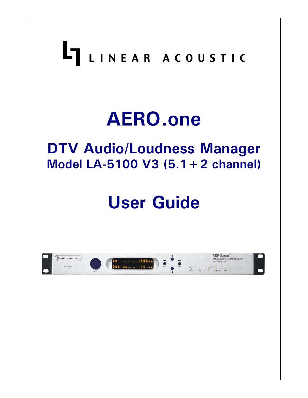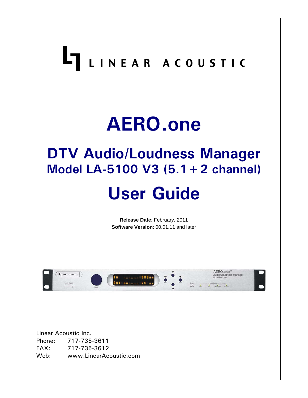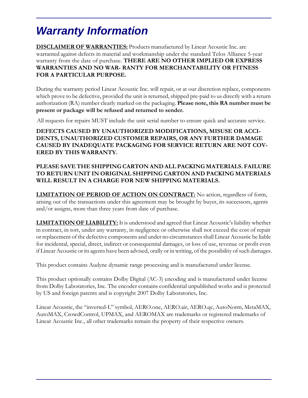# *Warranty Information*

**DISCLAIMER OF WARRANTIES:** Products manufactured by Linear Acoustic Inc. are warranted against defects in material and workmanship under the standard Telos Alliance 5-year warranty from the date of purchase. **THERE ARE NO OTHER IMPLIED OR EXPRESS WARRANTIES AND NO WAR- RANTY FOR MERCHANTABILITY OR FITNESS FOR A PARTICULAR PURPOSE.**

During the warranty period Linear Acoustic Inc. will repair, or at our discretion replace, components which prove to be defective, provided the unit is returned, shipped pre-paid to us directly with a return authorization (RA) number clearly marked on the packaging. **Please note, this RA number must be present or package will be refused and returned to sender.**

All requests for repairs MUST include the unit serial number to ensure quick and accurate service.

#### **DEFECTS CAUSED BY UNAUTHORIZED MODIFICATIONS, MISUSE OR ACCI-DENTS, UNAUTHORIZED CUSTOMER REPAIRS, OR ANY FURTHER DAMAGE CAUSED BY INADEQUATE PACKAGING FOR SERVICE RETURN ARE NOT COV-ERED BY THIS WARRANTY.**

#### **PLEASE SAVE THE SHIPPING CARTON AND ALL PACKING MATERIALS. FAILURE TO RETURN UNIT IN ORIGINAL SHIPPING CARTON AND PACKING MATERIALS WILL RESULT IN A CHARGE FOR NEW SHIPPING MATERIALS.**

**LIMITATION OF PERIOD OF ACTION ON CONTRACT:** No action, regardless of form, arising out of the transactions under this agreement may be brought by buyer, its successors, agents and/or assigns, more than three years from date of purchase.

**LIMITATION OF LIABILITY:** It is understood and agreed that Linear Acoustic's liability whether in contract, in tort, under any warranty, in negligence or otherwise shall not exceed the cost of repair or replacement of the defective components and under no circumstances shall Linear Acoustic be liable for incidental, special, direct, indirect or consequential damages, or loss of use, revenue or profit even if Linear Acoustic or its agents have been advised, orally or in writing, of the possibility of such damages.

This product contains Audyne dynamic range processing and is manufactured under license.

This product optionally contains Dolby Digital (AC-3) encoding and is manufactured under license from Dolby Laboratories, Inc. The encoder contains confidential unpublished works and is protected by US and foreign patents and is copyright 2007 Dolby Laboratories, Inc.

Linear Acoustic, the "inverted-L" symbol, AERO.one, AERO.air, AERO.qc, AutoNorm, MetaMAX, AutoMAX, CrowdControl, UPMAX, and AEROMAX are trademarks or registered trademarks of Linear Acoustic Inc., all other trademarks remain the property of their respective owners.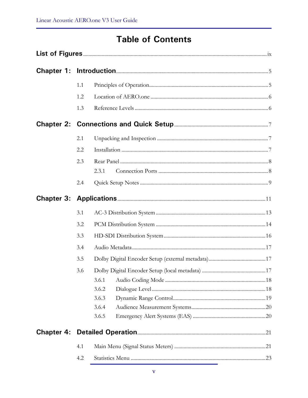# **Table of Contents**

|                   | 1.1 |       |  |
|-------------------|-----|-------|--|
|                   | 1.2 |       |  |
|                   | 1.3 |       |  |
|                   |     |       |  |
|                   | 2.1 |       |  |
|                   | 2.2 |       |  |
|                   | 2.3 | 2.3.1 |  |
|                   | 2.4 |       |  |
|                   |     |       |  |
|                   | 3.1 |       |  |
|                   | 3.2 |       |  |
|                   | 3.3 |       |  |
|                   | 3.4 |       |  |
|                   | 3.5 |       |  |
|                   | 3.6 |       |  |
|                   |     | 3.6.1 |  |
|                   |     | 3.6.2 |  |
|                   |     | 3.6.3 |  |
|                   |     | 3.6.4 |  |
|                   |     | 3.6.5 |  |
| <b>Chapter 4:</b> |     |       |  |
|                   | 4.1 |       |  |
|                   | 4.2 |       |  |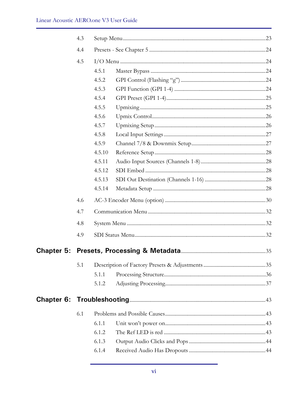|            | 4.3 |        |  |
|------------|-----|--------|--|
|            | 4.4 |        |  |
|            | 4.5 |        |  |
|            |     | 4.5.1  |  |
|            |     | 4.5.2  |  |
|            |     | 4.5.3  |  |
|            |     | 4.5.4  |  |
|            |     | 4.5.5  |  |
|            |     | 4.5.6  |  |
|            |     | 4.5.7  |  |
|            |     | 4.5.8  |  |
|            |     | 4.5.9  |  |
|            |     | 4.5.10 |  |
|            |     | 4.5.11 |  |
|            |     | 4.5.12 |  |
|            |     | 4.5.13 |  |
|            |     | 4.5.14 |  |
|            | 4.6 |        |  |
|            | 4.7 |        |  |
|            | 4.8 |        |  |
|            | 4.9 |        |  |
|            |     |        |  |
|            | 5.1 |        |  |
|            |     | 5.1.1  |  |
|            |     | 5.1.2  |  |
| Chapter 6: |     |        |  |
|            | 6.1 |        |  |
|            |     | 6.1.1  |  |
|            |     | 6.1.2  |  |
|            |     | 6.1.3  |  |
|            |     | 6.1.4  |  |
|            |     |        |  |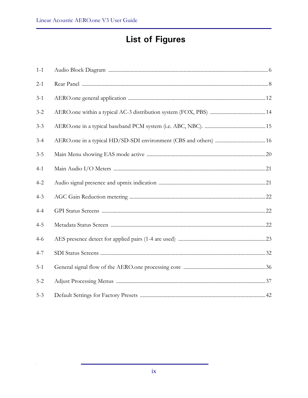# **List of Figures**

| $1 - 1$ |  |
|---------|--|
| $2-1$   |  |
| $3 - 1$ |  |
| $3 - 2$ |  |
| $3 - 3$ |  |
| $3 - 4$ |  |
| $3 - 5$ |  |
| $4 - 1$ |  |
| $4 - 2$ |  |
| $4 - 3$ |  |
| $4 - 4$ |  |
| $4 - 5$ |  |
| $4 - 6$ |  |
| $4 - 7$ |  |
| $5 - 1$ |  |
| $5 - 2$ |  |
| $5 - 3$ |  |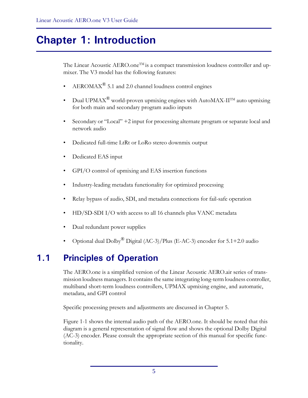# **Chapter 1: Introduction**

The Linear Acoustic AERO.one<sup>TM</sup> is a compact transmission loudness controller and upmixer. The V3 model has the following features:

- $AEROMAX^{\circledR}$  5.1 and 2.0 channel loudness control engines
- Dual UPMAX<sup>®</sup> world-proven upmixing engines with AutoMAX-II<sup>TM</sup> auto upmixing for both main and secondary program audio inputs
- Secondary or "Local" +2 input for processing alternate program or separate local and network audio
- Dedicated full-time LtRt or LoRo stereo downmix output
- Dedicated EAS input
- GPI/O control of upmixing and EAS insertion functions
- Industry-leading metadata functionality for optimized processing
- Relay bypass of audio, SDI, and metadata connections for fail-safe operation
- HD/SD-SDI I/O with access to all 16 channels plus VANC metadata
- Dual redundant power supplies
- Optional dual Dolby<sup>®</sup> Digital (AC-3)/Plus (E-AC-3) encoder for  $5.1+2.0$  audio

# **1.1 Principles of Operation**

The AERO.one is a simplified version of the Linear Acoustic AERO.air series of transmission loudness managers. It contains the same integrating long-term loudness controller, multiband short-term loudness controllers, UPMAX upmixing engine, and automatic, metadata, and GPI control

Specific processing presets and adjustments are discussed in Chapter 5.

Figure 1-1 shows the internal audio path of the AERO.one. It should be noted that this diagram is a general representation of signal flow and shows the optional Dolby Digital (AC-3) encoder. Please consult the appropriate section of this manual for specific functionality.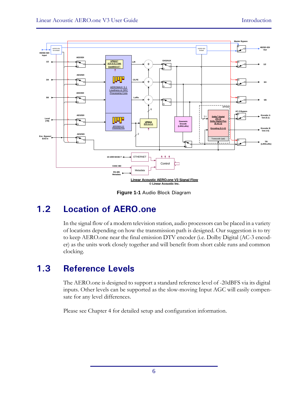

**Figure 1-1** Audio Block Diagram

# **1.2 Location of AERO.one**

In the signal flow of a modern television station, audio processors can be placed in a variety of locations depending on how the transmission path is designed. Our suggestion is to try to keep AERO.one near the final emission DTV encoder (i.e. Dolby Digital (AC-3 encoder) as the units work closely together and will benefit from short cable runs and common clocking.

# **1.3 Reference Levels**

The AERO.one is designed to support a standard reference level of -20dBFS via its digital inputs. Other levels can be supported as the slow-moving Input AGC will easily compensate for any level differences.

Please see Chapter 4 for detailed setup and configuration information.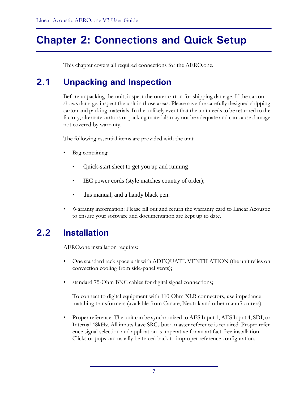# **Chapter 2: Connections and Quick Setup**

This chapter covers all required connections for the AERO.one.

# **2.1 Unpacking and Inspection**

Before unpacking the unit, inspect the outer carton for shipping damage. If the carton shows damage, inspect the unit in those areas. Please save the carefully designed shipping carton and packing materials. In the unlikely event that the unit needs to be returned to the factory, alternate cartons or packing materials may not be adequate and can cause damage not covered by warranty.

The following essential items are provided with the unit:

- Bag containing:
	- Quick-start sheet to get you up and running
	- IEC power cords (style matches country of order);
	- this manual, and a handy black pen.
- Warranty information: Please fill out and return the warranty card to Linear Acoustic to ensure your software and documentation are kept up to date.

# **2.2 Installation**

AERO.one installation requires:

- One standard rack space unit with ADEQUATE VENTILATION (the unit relies on convection cooling from side-panel vents);
- standard 75-Ohm BNC cables for digital signal connections;

To connect to digital equipment with 110-Ohm XLR connectors, use impedancematching transformers (available from Canare, Neutrik and other manufacturers).

• Proper reference. The unit can be synchronized to AES Input 1, AES Input 4, SDI, or Internal 48kHz. All inputs have SRCs but a master reference is required. Proper reference signal selection and application is imperative for an artifact-free installation. Clicks or pops can usually be traced back to improper reference configuration.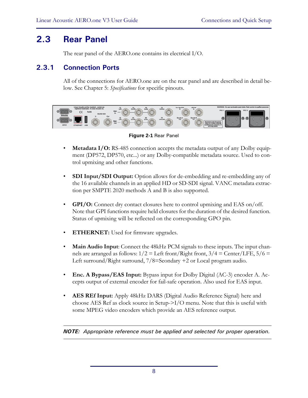# **2.3 Rear Panel**

The rear panel of the AERO.one contains its electrical I/O.

### **2.3.1 Connection Ports**

All of the connections for AERO.one are on the rear panel and are described in detail below. See Chapter 5: *Specifications* for specific pinouts.



**Figure 2-1** Rear Panel

- **Metadata I/O:** RS-485 connection accepts the metadata output of any Dolby equipment (DP572, DP570, etc...) or any Dolby-compatible metadata source. Used to control upmixing and other functions.
- **SDI Input/SDI Output:** Option allows for de-embedding and re-embedding any of the 16 available channels in an applied HD or SD-SDI signal. VANC metadata extraction per SMPTE 2020 methods A and B is also supported.
- **GPI/O:** Connect dry contact closures here to control upmixing and EAS on/off. Note that GPI functions require held closures for the duration of the desired function. Status of upmixing will be reflected on the corresponding GPO pin.
- **ETHERNET:** Used for firmware upgrades.
- **Main Audio Input**: Connect the 48kHz PCM signals to these inputs. The input channels are arranged as follows:  $1/2 =$  Left front/Right front,  $3/4 =$  Center/LFE,  $5/6 =$ Left surround/Right surround, 7/8=Seondary +2 or Local program audio.
- **Enc. A Bypass/EAS Input:** Bypass input for Dolby Digital (AC-3) encoder A. Accepts output of external encoder for fail-safe operation. Also used for EAS input.
- **AES REf Input:** Apply 48kHz DARS (Digital Audio Reference Signal) here and choose AES Ref as clock source in Setup->I/O menu. Note that this is useful with some MPEG video encoders which provide an AES reference output.

*NOTE: Appropriate reference must be applied and selected for proper operation.*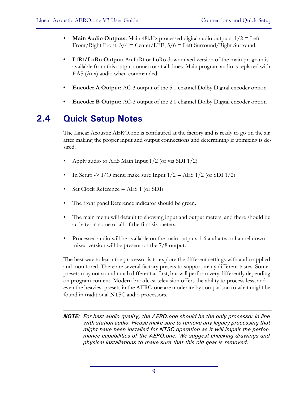- **Main Audio Outputs:** Main 48kHz processed digital audio outputs. 1/2 = Left Front/Right Front,  $3/4 =$  Center/LFE,  $5/6 =$  Left Surround/Right Surround.
- LtRt/LoRo Output: An LtRt or LoRo downmixed version of the main program is available from this output connector at all times. Main program audio is replaced with EAS (Aux) audio when commanded.
- **Encoder A Output:** AC-3 output of the 5.1 channel Dolby Digital encoder option
- **Encoder B Output:** AC-3 output of the 2.0 channel Dolby Digital encoder option

# **2.4 Quick Setup Notes**

The Linear Acoustic AERO.one is configured at the factory and is ready to go on the air after making the proper input and output connections and determining if upmixing is desired.

- Apply audio to AES Main Input  $1/2$  (or via SDI  $1/2$ )
- In Setup -> I/O menu make sure Input  $1/2 = AES \frac{1}{2}$  (or SDI  $\frac{1}{2}$ )
- Set Clock Reference = AES 1 (or SDI)
- The front panel Reference indicator should be green.
- The main menu will default to showing input and output meters, and there should be activity on some or all of the first six meters.
- Processed audio will be available on the main outputs 1-6 and a two channel downmixed version will be present on the 7/8 output.

The best way to learn the processor is to explore the different settings with audio applied and monitored. There are several factory presets to support many different tastes. Some presets may not sound much different at first, but will perform very differently depending on program content. Modern broadcast television offers the ability to process less, and even the heaviest presets in the AERO.one are moderate by comparison to what might be found in traditional NTSC audio processors.

*NOTE: For best audio quality, the AERO.one should be the only processor in line with station audio. Please make sure to remove any legacy processing that might have been installed for NTSC operation as it will impair the performance capabilities of the AERO.one. We suggest checking drawings and physical installations to make sure that this old gear is removed.*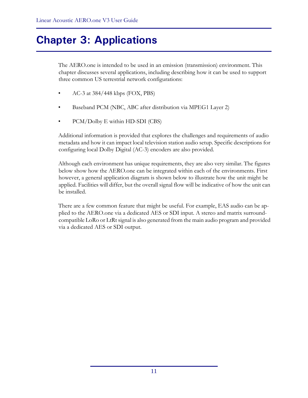# **Chapter 3: Applications**

The AERO.one is intended to be used in an emission (transmission) environment. This chapter discusses several applications, including describing how it can be used to support three common US terrestrial network configurations:

- AC-3 at 384/448 kbps (FOX, PBS)
- Baseband PCM (NBC, ABC after distribution via MPEG1 Layer 2)
- PCM/Dolby E within HD-SDI (CBS)

Additional information is provided that explores the challenges and requirements of audio metadata and how it can impact local television station audio setup. Specific descriptions for configuring local Dolby Digital (AC-3) encoders are also provided.

Although each environment has unique requirements, they are also very similar. The figures below show how the AERO.one can be integrated within each of the environments. First however, a general application diagram is shown below to illustrate how the unit might be applied. Facilities will differ, but the overall signal flow will be indicative of how the unit can be installed.

There are a few common feature that might be useful. For example, EAS audio can be applied to the AERO.one via a dedicated AES or SDI input. A stereo and matrix surroundcompatible LoRo or LtRt signal is also generated from the main audio program and provided via a dedicated AES or SDI output.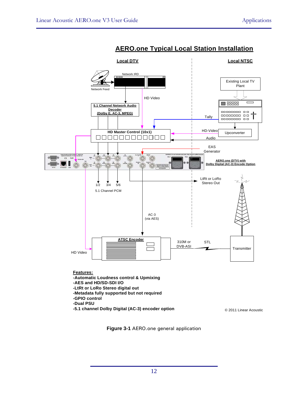

### **AERO.one Typical Local Station Installation**

**Figure 3-1** AERO.one general application

**-5.1 channel Dolby Digital (AC-3) encoder option Canadian Canadian Canadian Canadian Coustic**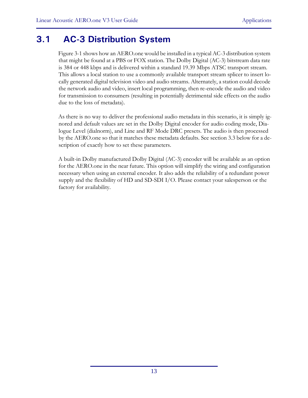# **3.1 AC-3 Distribution System**

Figure 3-1 shows how an AERO.one would be installed in a typical AC-3 distribution system that might be found at a PBS or FOX station. The Dolby Digital (AC-3) bitstream data rate is 384 or 448 kbps and is delivered within a standard 19.39 Mbps ATSC transport stream. This allows a local station to use a commonly available transport stream splicer to insert locally generated digital television video and audio streams. Alternately, a station could decode the network audio and video, insert local programming, then re-encode the audio and video for transmission to consumers (resulting in potentially detrimental side effects on the audio due to the loss of metadata).

As there is no way to deliver the professional audio metadata in this scenario, it is simply ignored and default values are set in the Dolby Digital encoder for audio coding mode, Dialogue Level (dialnorm), and Line and RF Mode DRC presets. The audio is then processed by the AERO.one so that it matches these metadata defaults. See section 3.3 below for a description of exactly how to set these parameters.

A built-in Dolby manufactured Dolby Digital (AC-3) encoder will be available as an option for the AERO.one in the near future. This option will simplify the wiring and configuration necessary when using an external encoder. It also adds the reliability of a redundant power supply and the flexibility of HD and SD-SDI I/O. Please contact your salesperson or the factory for availability.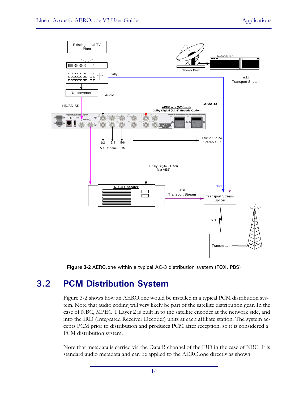

**Figure 3-2** AERO.one within a typical AC-3 distribution system (FOX, PBS)

# **3.2 PCM Distribution System**

Figure 3-2 shows how an AERO.one would be installed in a typical PCM distribution system. Note that audio coding will very likely be part of the satellite distribution gear. In the case of NBC, MPEG 1 Layer 2 is built in to the satellite encoder at the network side, and into the IRD (Integrated Receiver Decoder) units at each affiliate station. The system accepts PCM prior to distribution and produces PCM after reception, so it is considered a PCM distribution system.

Note that metadata is carried via the Data B channel of the IRD in the case of NBC. It is standard audio metadata and can be applied to the AERO.one directly as shown.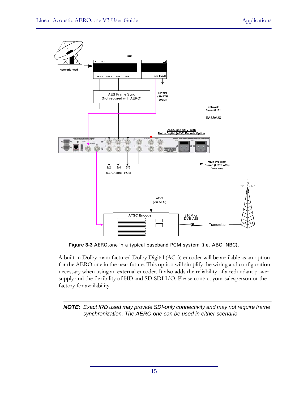

**Figure 3-3** AERO.one in a typical baseband PCM system (i.e. ABC, NBC).

A built-in Dolby manufactured Dolby Digital (AC-3) encoder will be available as an option for the AERO.one in the near future. This option will simplify the wiring and configuration necessary when using an external encoder. It also adds the reliability of a redundant power supply and the flexibility of HD and SD-SDI I/O. Please contact your salesperson or the factory for availability.

*NOTE: Exact IRD used may provide SDI-only connectivity and may not require frame synchronization. The AERO.one can be used in either scenario.*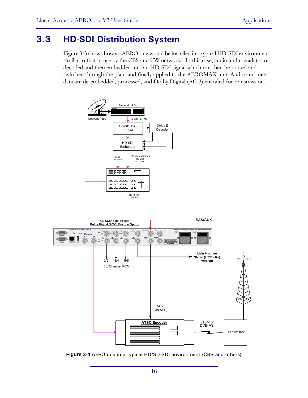# **3.3 HD-SDI Distribution System**

Figure 3-3 shows how an AERO.one would be installed in a typical HD-SDI environment, similar to that in use by the CBS and CW networks. In this case, audio and metadata are decoded and then embedded into an HD-SDI signal which can then be routed and switched through the plant and finally applied to the AEROMAX unit. Audio and metadata are de-embedded, processed, and Dolby Digital (AC-3) encoded for transmission.



**Figure 3-4** AERO.one in a typical HD/SD-SDI environment (CBS and others)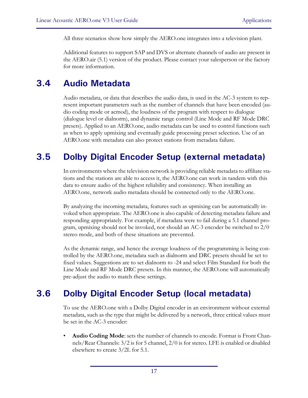All three scenarios show how simply the AERO.one integrates into a television plant.

Additional features to support SAP and DVS or alternate channels of audio are present in the AERO.air (5.1) version of the product. Please contact your salesperson or the factory for more information.

# **3.4 Audio Metadata**

Audio metadata, or data that describes the audio data, is used in the AC-3 system to represent important parameters such as the number of channels that have been encoded (audio coding mode or acmod), the loudness of the program with respect to dialogue (dialogue level or dialnorm), and dynamic range control (Line Mode and RF Mode DRC presets). Applied to an AERO.one, audio metadata can be used to control functions such as when to apply upmixing and eventually guide processing preset selection. Use of an AERO.one with metadata can also protect stations from metadata failure.

# **3.5 Dolby Digital Encoder Setup (external metadata)**

In environments where the television network is providing reliable metadata to affiliate stations and the stations are able to access it, the AERO.one can work in tandem with this data to ensure audio of the highest reliability and consistency. When installing an AERO.one, network audio metadata should be connected only to the AERO.one.

By analyzing the incoming metadata, features such as upmixing can be automatically invoked when appropriate. The AERO.one is also capable of detecting metadata failure and responding appropriately. For example, if metadata were to fail during a 5.1 channel program, upmixing should not be invoked, nor should an AC-3 encoder be switched to 2/0 stereo mode, and both of these situations are prevented.

As the dynamic range, and hence the average loudness of the programming is being controlled by the AERO.one, metadata such as dialnorm and DRC presets should be set to fixed values. Suggestions are to set dialnorm to -24 and select Film Standard for both the Line Mode and RF Mode DRC presets. In this manner, the AERO.one will automatically pre-adjust the audio to match these settings.

# **3.6 Dolby Digital Encoder Setup (local metadata)**

To use the AERO.one with a Dolby Digital encoder in an environment without external metadata, such as the type that might be delivered by a network, three critical values must be set in the AC-3 encoder:

• **Audio Coding Mode**: sets the number of channels to encode. Format is Front Channels/Rear Channels: 3/2 is for 5 channel, 2/0 is for stereo. LFE is enabled or disabled elsewhere to create 3/2L for 5.1.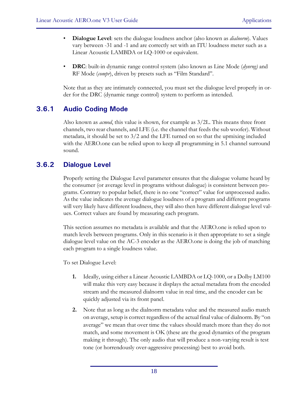- **Dialogue Level**: sets the dialogue loudness anchor (also known as *dialnorm*). Values vary between -31 and -1 and are correctly set with an ITU loudness meter such as a Linear Acoustic LAMBDA or LQ-1000 or equivalent.
- **DRC**: built-in dynamic range control system (also known as Line Mode (*dynrng)* and RF Mode (*compr*), driven by presets such as "Film Standard".

Note that as they are intimately connected, you must set the dialogue level properly in order for the DRC (dynamic range control) system to perform as intended.

### **3.6.1 Audio Coding Mode**

Also known as *acmod*, this value is shown, for example as 3/2L. This means three front channels, two rear channels, and LFE (i.e. the channel that feeds the sub woofer). Without metadata, it should be set to  $3/2$  and the LFE turned on so that the upmixing included with the AERO.one can be relied upon to keep all programming in 5.1 channel surround sound.

### **3.6.2 Dialogue Level**

Properly setting the Dialogue Level parameter ensures that the dialogue volume heard by the consumer (or average level in programs without dialogue) is consistent between programs. Contrary to popular belief, there is no one "correct" value for unprocessed audio. As the value indicates the average dialogue loudness of a program and different programs will very likely have different loudness, they will also then have different dialogue level values. Correct values are found by measuring each program.

This section assumes no metadata is available and that the AERO.one is relied upon to match levels between programs. Only in this scenario is it then appropriate to set a single dialogue level value on the AC-3 encoder as the AERO.one is doing the job of matching each program to a single loudness value.

To set Dialogue Level:

- **1.** Ideally, using either a Linear Acoustic LAMBDA or LQ-1000, or a Dolby LM100 will make this very easy because it displays the actual metadata from the encoded stream and the measured dialnorm value in real time, and the encoder can be quickly adjusted via its front panel.
- **2.** Note that as long as the dialnorm metadata value and the measured audio match on average, setup is correct regardless of the actual final value of dialnorm. By "on average" we mean that over time the values should match more than they do not match, and some movement is OK (these are the good dynamics of the program making it through). The only audio that will produce a non-varying result is test tone (or horrendously over-aggressive processing) best to avoid both.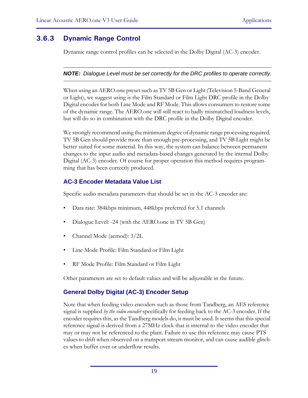## **3.6.3 Dynamic Range Control**

Dynamic range control profiles can be selected in the Dolby Digital (AC-3) encoder.

#### *NOTE: Dialogue Level must be set correctly for the DRC profiles to operate correctly.*

When using an AERO.one preset such as TV 5B Gen or Light (Television 5-Band General or Light), we suggest using is the Film Standard or Film Light DRC profile in the Dolby Digital encoder for both Line Mode and RF Mode. This allows consumers to restore some of the dynamic range. The AERO.one will still react to badly mismatched loudness levels, but will do so in combination with the DRC profile in the Dolby Digital encoder.

We strongly recommend using the minimum degree of dynamic range processing required. TV 5B Gen should provide more than enough pre-processing, and TV 5B Light might be better suited for some material. In this way, the system can balance between permanent changes to the input audio and metadata-based changes generated by the internal Dolby Digital (AC-3) encoder. Of course for proper operation this method requires programming that has been correctly produced.

### **AC-3 Encoder Metadata Value List**

Specific audio metadata parameters that should be set in the AC-3 encoder are:

- Data rate: 384kbps minimum, 448kbps preferred for 5.1 channels
- Dialogue Level: -24 (with the AERO.one in TV 5B Gen)
- Channel Mode (acmod): 3/2L
- Line Mode Profile: Film Standard or Film Light
- RF Mode Profile: Film Standard or Film Light

Other parameters are set to default values and will be adjustable in the future.

### **General Dolby Digital (AC-3) Encoder Setup**

Note that when feeding video encoders such as those from Tandberg, an AES reference signal is supplied *by the video encoder* specifically for feeding back to the AC-3 encoder. If the encoder requires this, as the Tandberg models do, it must be used. It seems that this special reference signal is derived from a 27MHz clock that is internal to the video encoder that may or may not be referenced to the plant. Failure to use this reference may cause PTS values to drift when observed on a transport stream monitor, and can cause audible glitches when buffer over or underflow results.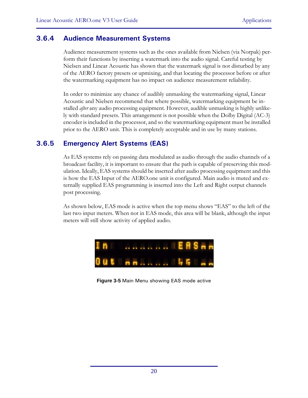### **3.6.4 Audience Measurement Systems**

Audience measurement systems such as the ones available from Nielsen (via Norpak) perform their functions by inserting a watermark into the audio signal. Careful testing by Nielsen and Linear Acoustic has shown that the watermark signal is not disturbed by any of the AERO factory presets or upmixing, and that locating the processor before or after the watermarking equipment has no impact on audience measurement reliability.

In order to minimize any chance of audibly unmasking the watermarking signal, Linear Acoustic and Nielsen recommend that where possible, watermarking equipment be installed *after* any audio processing equipment. However, audible unmasking is highly unlikely with standard presets. This arrangement is not possible when the Dolby Digital (AC-3) encoder is included in the processor, and so the watermarking equipment must be installed prior to the AERO unit. This is completely acceptable and in use by many stations.

### **3.6.5 Emergency Alert Systems (EAS)**

As EAS systems rely on passing data modulated as audio through the audio channels of a broadcast facility, it is important to ensure that the path is capable of preserving this modulation. Ideally, EAS systems should be inserted after audio processing equipment and this is how the EAS Input of the AERO.one unit is configured. Main audio is muted and externally supplied EAS programming is inserted into the Left and Right output channels post processing.

As shown below, EAS mode is active when the top menu shows "EAS" to the left of the last two input meters. When not in EAS mode, this area will be blank, although the input meters will still show activity of applied audio.



**Figure 3-5** Main Menu showing EAS mode active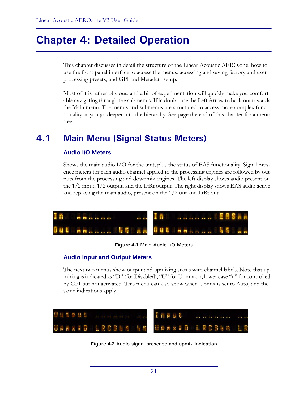# **Chapter 4: Detailed Operation**

This chapter discusses in detail the structure of the Linear Acoustic AERO.one, how to use the front panel interface to access the menus, accessing and saving factory and user processing presets, and GPI and Metadata setup.

Most of it is rather obvious, and a bit of experimentation will quickly make you comfortable navigating through the submenus. If in doubt, use the Left Arrow to back out towards the Main menu. The menus and submenus are structured to access more complex functionality as you go deeper into the hierarchy. See page the end of this chapter for a menu tree.

# **4.1 Main Menu (Signal Status Meters)**

#### **Audio I/O Meters**

Shows the main audio I/O for the unit, plus the status of EAS functionality. Signal presence meters for each audio channel applied to the processing engines are followed by outputs from the processing and downmix engines. The left display shows audio present on the 1/2 input, 1/2 output, and the LtRt output. The right display shows EAS audio active and replacing the main audio, present on the 1/2 out and LtRt out.



#### **Figure 4-1** Main Audio I/O Meters

#### **Audio Input and Output Meters**

The next two menus show output and upmixing status with channel labels. Note that upmixing is indicated as "D" (for Disabled), "U" for Upmix on, lower case "u" for controlled by GPI but not activated. This menu can also show when Upmix is set to Auto, and the same indications apply.



**Figure 4-2** Audio signal presence and upmix indication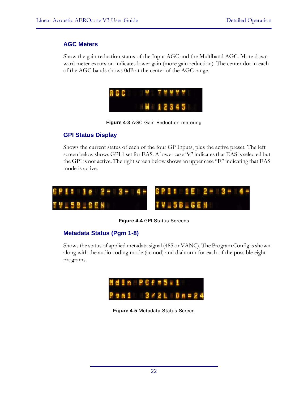#### **AGC Meters**

Show the gain reduction status of the Input AGC and the Multiband AGC. More downward meter excursion indicates lower gain (more gain reduction). The center dot in each of the AGC bands shows 0dB at the center of the AGC range.

|  | 8661 |  |  |         | . |  |  |
|--|------|--|--|---------|---|--|--|
|  |      |  |  | N 12845 |   |  |  |



### **GPI Status Display**

Shows the current status of each of the four GP Inputs, plus the active preset. The left screen below shows GPI 1 set for EAS. A lower case "e" indicates that EAS is selected but the GPI is not active. The right screen below shows an upper case "E" indicating that EAS mode is active.



**Figure 4-4** GPI Status Screens

### **Metadata Status (Pgm 1-8)**

Shows the status of applied metadata signal (485 or VANC). The Program Config is shown along with the audio coding mode (acmod) and dialnorm for each of the possible eight programs.



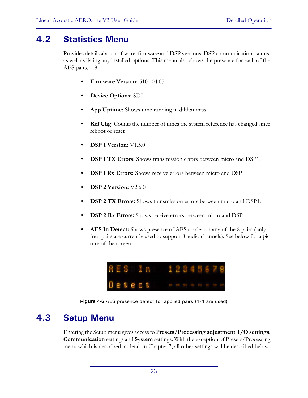# **4.2 Statistics Menu**

Provides details about software, firmware and DSP versions, DSP communications status, as well as listing any installed options. This menu also shows the presence for each of the AES pairs, 1-8.

- **Firmware Version:** 5100.04.05
- **Device Options:** SDI
- **App Uptime:** Shows time running in d:hh:mm:ss
- **Ref Chg:** Counts the number of times the system reference has changed since reboot or reset
- **DSP 1 Version:** V1.5.0
- **DSP 1 TX Errors:** Shows transmission errors between micro and DSP1.
- **DSP 1 Rx Errors:** Shows receive errors between micro and DSP
- **DSP 2 Version:** V2.6.0
- **DSP 2 TX Errors:** Shows transmission errors between micro and DSP1.
- **DSP 2 Rx Errors:** Shows receive errors between micro and DSP
- **AES In Detect:** Shows presence of AES carrier on any of the 8 pairs (only four pairs are currently used to support 8 audio channels). See below for a picture of the screen



**Figure 4-6** AES presence detect for applied pairs (1-4 are used)

# **4.3 Setup Menu**

Entering the Setup menu gives access to **Presets/Processing adjustment**, **I/O settings**, **Communication** settings and **System** settings. With the exception of Presets/Processing menu which is described in detail in Chapter 7, all other settings will be described below.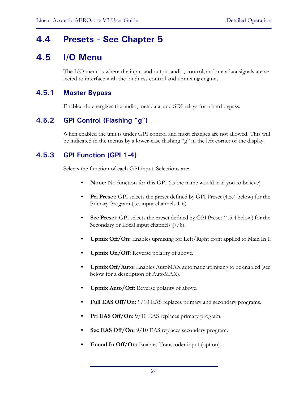# **4.4 Presets - See Chapter 5**

# **4.5 I/O Menu**

The I/O menu is where the input and output audio, control, and metadata signals are selected to interface with the loudness control and upmixing engines.

### **4.5.1 Master Bypass**

Enabled de-energizes the audio, metadata, and SDI relays for a hard bypass.

### **4.5.2 GPI Control (Flashing "g")**

When enabled the unit is under GPI control and most changes are not allowed. This will be indicated in the menus by a lower-case flashing "g" in the left corner of the display.

### **4.5.3 GPI Function (GPI 1-4)**

Selects the function of each GPI input. Selections are:

- **None:** No function for this GPI (as the name would lead you to believe)
- **Pri Preset:** GPI selects the preset defined by GPI Preset (4.5.4 below) for the Primary Program (i.e. input channels 1-6).
- **Sec Preset:** GPI selects the preset defined by GPI Preset (4.5.4 below) for the Secondary or Local input channels (7/8).
- **Upmix Off/On:** Enables upmixing for Left/Right front applied to Main In 1.
- **Upmix On/Off:** Reverse polarity of above.
- **Upmix Off/Auto:** Enables AutoMAX automatic upmixing to be enabled (see below for a description of AutoMAX).
- **Upmix Auto/Off:** Reverse polarity of above.
- **Full EAS Off/On:** 9/10 EAS replaces primary and secondary programs.
- **Pri EAS Off/On:** 9/10 EAS replaces primary program.
- **Sec EAS Off/On:**  $9/10$  EAS replaces secondary program.
- Encod In Off/On: Enables Transcoder input (option).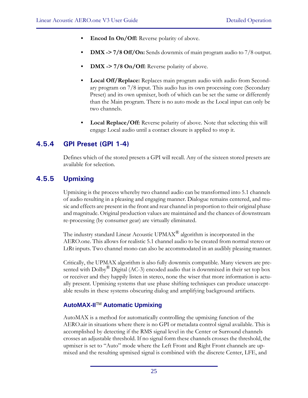- **Encod In On/Off:** Reverse polarity of above.
- **DMX -> 7/8 Off/On:** Sends downmix of main program audio to 7/8 output.
- DMX -> 7/8 On/Off: Reverse polarity of above.
- **Local Off/Replace:** Replaces main program audio with audio from Secondary program on 7/8 input. This audio has its own processing core (Secondary Preset) and its own upmixer, both of which can be set the same or differently than the Main program. There is no auto mode as the Local input can only be two channels.
- **Local Replace/Off:** Reverse polarity of above. Note that selecting this will engage Local audio until a contact closure is applied to stop it.

### **4.5.4 GPI Preset (GPI 1-4)**

Defines which of the stored presets a GPI will recall. Any of the sixteen stored presets are available for selection.

### **4.5.5 Upmixing**

Upmixing is the process whereby two channel audio can be transformed into 5.1 channels of audio resulting in a pleasing and engaging manner. Dialogue remains centered, and music and effects are present in the front and rear channel in proportion to their original phase and magnitude. Original production values are maintained and the chances of downstream re-processing (by consumer gear) are virtually eliminated.

The industry standard Linear Acoustic  $UPMAX^{\circledR}$  algorithm is incorporated in the AERO.one. This allows for realistic 5.1 channel audio to be created from normal stereo or LtRt inputs. Two channel mono can also be accommodated in an audibly pleasing manner.

Critically, the UPMAX algorithm is also fully downmix compatible. Many viewers are presented with Dolby<sup>®</sup> Digital (AC-3) encoded audio that is downmixed in their set top box or receiver and they happily listen in stereo, none the wiser that more information is actually present. Upmixing systems that use phase shifting techniques can produce unacceptable results in these systems obscuring dialog and amplifying background artifacts.

### **AutoMAX-II**TM **Automatic Upmixing**

AutoMAX is a method for automatically controlling the upmixing function of the AERO.air in situations where there is no GPI or metadata control signal available. This is accomplished by detecting if the RMS signal level in the Center or Surround channels crosses an adjustable threshold. If no signal form these channels crosses the threshold, the upmixer is set to "Auto" mode where the Left Front and Right Front channels are upmixed and the resulting upmixed signal is combined with the discrete Center, LFE, and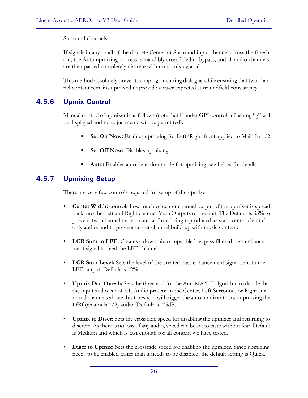Surround channels.

If signals in any or all of the discrete Center or Surround input channels cross the threshold, the Auto upmixing process is inaudibly crossfaded to bypass, and all audio channels are then passed completely discrete with no upmixing at all.

This method absolutely prevents clipping or cutting dialogue while ensuring that two channel content remains upmixed to provide viewer expected surroundfield consistency.

## **4.5.6 Upmix Control**

Manual control of upmixer is as follows (note that if under GPI control, a flashing "g" will be displayed and no adjustments will be permitted):

- **Set On Now:** Enables upmixing for Left/Right front applied to Main In 1/2.
- **Set Off Now:** Disables upmixing
- **Auto:** Enables auto detection mode for upmixing, see below for details

### **4.5.7 Upmixing Setup**

There are very few controls required for setup of the upmixer:

- **Center Width:** controls how much of center channel output of the upmixer is spread back into the Left and Right channel Main Outputs of the unit; The Default is 33% to prevent two channel mono material from being reproduced as stark center channel only audio, and to prevent center channel build-up with music content.
- **LCR Sum to LFE:** Creates a downmix compatible low pass filtered bass enhancement signal to feed the LFE channel.
- **LCR Sum Level:** Sets the level of the created bass enhancement signal sent to the LFE output. Default is 12%.
- **Upmix Dsc Thresh:** Sets the threshold for the AutoMAX-II algorithm to decide that the input audio is not 5.1. Audio present in the Center, Left Surround, or Right surround channels above this threshold will trigger the auto upmixer to start upmixing the LfRf (channels 1/2) audio. Default is -75dB.
- **Upmix to Discr:** Sets the crossfade speed for disabling the upmixer and returning to discrete. As there is no loss of any audio, speed can be set to taste without fear. Default is Medium and which is fast enough for all content we have tested.
- **Discr to Upmix:** Sets the crossfade speed for enabling the upmixer. Since upmixing needs to be enabled faster than it needs to be disabled, the default setting is Quick.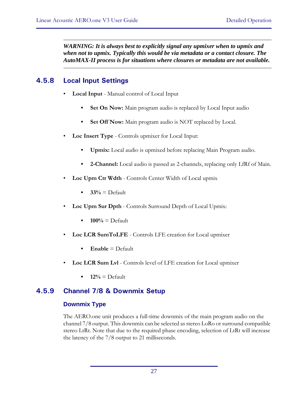*WARNING: It is always best to explicitly signal any upmixer when to upmix and when not to upmix. Typically this would be via metadata or a contact closure. The AutoMAX-II process is for situations where closures or metadata are not available.*

## **4.5.8 Local Input Settings**

- **Local Input** Manual control of Local Input
	- **Set On Now:** Main program audio is replaced by Local Input audio
	- **Set Off Now:** Main program audio is NOT replaced by Local.
- **Loc Insert Type** Controls upmixer for Local Input:
	- **Upmix:** Local audio is upmixed before replacing Main Program audio.
	- **2-Channel:** Local audio is passed as 2-channels, replacing only LfRf of Main.
- **Loc Upm Ctr Wdth** Controls Center Width of Local upmix
	- $\bullet$   $33\% =$  Default
- **Loc Upm Sur Dpth**  Controls Surround Depth of Local Upmix:
	- $100\%$  = Default
- **Loc LCR SumToLFE**  Controls LFE creation for Local upmixer
	- Enable = Default
- **Loc LCR Sum Lvl**  Controls level of LFE creation for Local upmixer
	- $12\%$  = Default

## **4.5.9 Channel 7/8 & Downmix Setup**

### **Downmix Type**

The AERO.one unit produces a full-time downmix of the main program audio on the channel 7/8 output. This downmix can be selected as stereo LoRo or surround compatible stereo LtRt. Note that due to the required phase encoding, selection of LtRt will increase the latency of the 7/8 output to 21 milliseconds.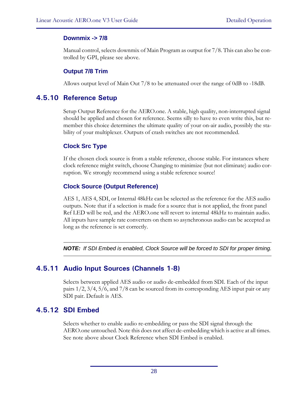### **Downmix -> 7/8**

Manual control, selects downmix of Main Program as output for 7/8. This can also be controlled by GPI, please see above.

#### **Output 7/8 Trim**

Allows output level of Main Out 7/8 to be attenuated over the range of 0dB to -18dB.

### **4.5.10 Reference Setup**

Setup Output Reference for the AERO.one. A stable, high quality, non-interrupted signal should be applied and chosen for reference. Seems silly to have to even write this, but remember this choice determines the ultimate quality of your on-air audio, possibly the stability of your multiplexer. Outputs of crash switches are not recommended.

### **Clock Src Type**

If the chosen clock source is from a stable reference, choose stable. For instances where clock reference might switch, choose Changing to minimize (but not eliminate) audio corruption. We strongly recommend using a stable reference source!

### **Clock Source (Output Reference)**

AES 1, AES 4, SDI, or Internal 48kHz can be selected as the reference for the AES audio outputs. Note that if a selection is made for a source that is not applied, the front panel Ref LED will be red, and the AERO.one will revert to internal 48kHz to maintain audio. All inputs have sample rate converters on them so asynchronous audio can be accepted as long as the reference is set correctly.

*NOTE: If SDI Embed is enabled, Clock Source will be forced to SDI for proper timing.*

## **4.5.11 Audio Input Sources (Channels 1-8)**

Selects between applied AES audio or audio de-embedded from SDI. Each of the input pairs 1/2, 3/4, 5/6, and 7/8 can be sourced from its corresponding AES input pair or any SDI pair. Default is AES.

## **4.5.12 SDI Embed**

Selects whether to enable audio re-embedding or pass the SDI signal through the AERO.one untouched. Note this does not affect de-embedding which is active at all times. See note above about Clock Reference when SDI Embed is enabled.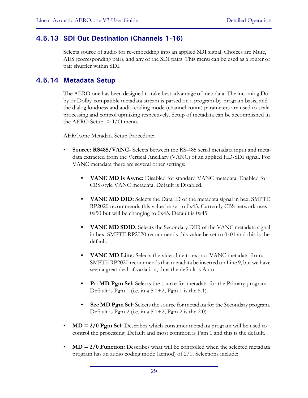### **4.5.13 SDI Out Destination (Channels 1-16)**

Selects source of audio for re-embedding into an applied SDI signal. Choices are Mute, AES (corresponding pair), and any of the SDI pairs. This menu can be used as a router or pair shuffler within SDI.

### **4.5.14 Metadata Setup**

The AERO.one has been designed to take best advantage of metadata. The incoming Dolby or Dolby-compatible metadata stream is parsed on a program-by-program basis, and the dialog loudness and audio coding mode (channel count) parameters are used to scale processing and control upmixing respectively. Setup of metadata can be accomplished in the AERO Setup  $\geq$  I/O menu.

AERO.one Metadata Setup Procedure:

- **Source: RS485/VANC** Selects between the RS-485 serial metadata input and metadata extracted from the Vertical Ancillary (VANC) of an applied HD-SDI signal. For VANC metadata there are several other settings:
	- **VANC MD is Async:** Disabled for standard VANC metadata, Enabled for CBS-style VANC metadata. Default is Disabled.
	- **VANC MD DID:** Selects the Data ID of the metadata signal in hex. SMPTE RP2020 recommends this value be set to 0x45. Currently CBS network uses 0x50 but will be changing to 0x45. Default is 0x45.
	- **VANC MD SDID:** Selects the Secondary DID of the VANC metadata signal in hex. SMPTE RP2020 recommends this value be set to 0x01 and this is the default.
	- **VANC MD Line:** Selects the video line to extract VANC metadata from. SMPTE RP2020 recommends that metadata be inserted on Line 9, but we have seen a great deal of variation, thus the default is Auto.
	- **Pri MD Pgm Sel:** Selects the source for metadata for the Primary program. Default is Pgm 1 (i.e. in a  $5.1+2$ , Pgm 1 is the 5.1).
	- **Sec MD Pgm Sel:** Selects the source for metadata for the Secondary program. Default is Pgm 2 (i.e. in a  $5.1+2$ , Pgm 2 is the 2.0).
- **MD = 2/0 Pgm Sel:** Describes which consumer metadata program will be used to control the processing. Default and most common is Pgm 1 and this is the default.
- **MD = 2/0 Function:** Describes what will be controlled when the selected metadata program has an audio coding mode (acmod) of 2/0. Selections include: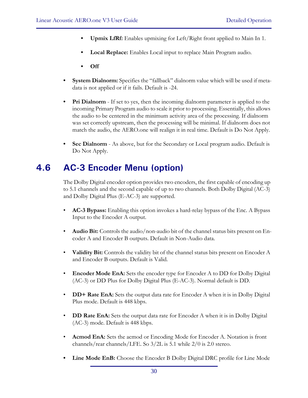- **Upmix LfRf:** Enables upmixing for Left/Right front applied to Main In 1.
- **Local Replace:** Enables Local input to replace Main Program audio.
- **Off**
- **System Dialnorm:** Specifies the "fallback" dialnorm value which will be used if metadata is not applied or if it fails. Default is -24.
- **Pri Dialnorm**  If set to yes, then the incoming dialnorm parameter is applied to the incoming Primary Program audio to scale it prior to processing. Essentially, this allows the audio to be centered in the minimum activity area of the processing. If dialnorm was set correctly upstream, then the processing will be minimal. If dialnorm does not match the audio, the AERO.one will realign it in real time. Default is Do Not Apply.
- **Sec Dialnorm**  As above, but for the Secondary or Local program audio. Default is Do Not Apply.

# **4.6 AC-3 Encoder Menu (option)**

The Dolby Digital encoder option provides two encoders, the first capable of encoding up to 5.1 channels and the second capable of up to two channels. Both Dolby Digital (AC-3) and Dolby Digital Plus (E-AC-3) are supported.

- **AC-3 Bypass:** Enabling this option invokes a hard-relay bypass of the Enc. A Bypass Input to the Encoder A output.
- **Audio Bit:** Controls the audio/non-audio bit of the channel status bits present on Encoder A and Encoder B outputs. Default in Non-Audio data.
- **Validity Bit:** Controls the validity bit of the channel status bits present on Encoder A and Encoder B outputs. Default is Valid.
- **Encoder Mode EnA:** Sets the encoder type for Encoder A to DD for Dolby Digital (AC-3) or DD Plus for Dolby Digital Plus (E-AC-3). Normal default is DD.
- **DD+ Rate EnA:** Sets the output data rate for Encoder A when it is in Dolby Digital Plus mode. Default is 448 kbps.
- **DD Rate EnA:** Sets the output data rate for Encoder A when it is in Dolby Digital (AC-3) mode. Default is 448 kbps.
- **Acmod EnA:** Sets the acmod or Encoding Mode for Encoder A. Notation is front channels/rear channels/LFE. So 3/2L is 5.1 while 2/0 is 2.0 stereo.
- **Line Mode EnB:** Choose the Encoder B Dolby Digital DRC profile for Line Mode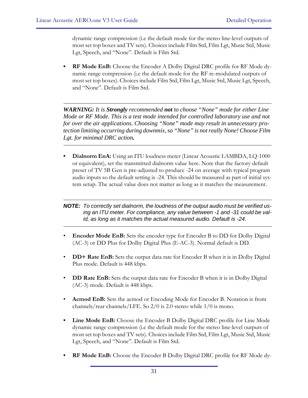dynamic range compression (i.e the default mode for the stereo line-level outputs of most set top boxes and TV sets). Choices include Film Std, Film Lgt, Music Std, Music Lgt, Speech, and "None". Default is Film Std.

**• RF Mode EnB:** Choose the Encoder A Dolby Digital DRC profile for RF Mode dynamic range compression (i.e the default mode for the RF re-modulated outputs of most set top boxes). Choices include Film Std, Film Lgt, Music Std, Music Lgt, Speech, and "None". Default is Film Std.

*WARNING: It is Strongly recommended not to choose "None" mode for either Line Mode or RF Mode. This is a test mode intended for controlled laboratory use and not for over the air applications. Choosing "None" mode may result in unnecessary protection limiting occurring during downmix, so "None" is not really None! Choose Film Lgt. for minimal DRC action.*

**• Dialnorm EnA:** Using an ITU loudness meter (Linear Acoustic LAMBDA, LQ-1000 or equivalent), set the transmitted dialnorm value here. Note that the factory default preset of TV 5B Gen is pre-adjusted to produce -24 on average with typical program audio inputs so the default setting is -24. This should be measured as part of initial system setup. The actual value does not matter as long as it matches the measurement.

#### *NOTE: To correctly set dialnorm, the loudness of the output audio must be verified using an ITU meter. For compliance, any value between -1 and -31 could be valid, as long as it matches the actual measured audio. Default is -24.*

- **Encoder Mode EnB:** Sets the encoder type for Encoder B to DD for Dolby Digital (AC-3) or DD Plus for Dolby Digital Plus (E-AC-3). Normal default is DD.
- **DD+ Rate EnB:** Sets the output data rate for Encoder B when it is in Dolby Digital Plus mode. Default is 448 kbps.
- **DD Rate EnB:** Sets the output data rate for Encoder B when it is in Dolby Digital (AC-3) mode. Default is 448 kbps.
- **Acmod EnB:** Sets the acmod or Encoding Mode for Encoder B. Notation is front channels/rear channels/LFE. So 2/0 is 2.0 stereo while 1/0 is mono.
- **Line Mode EnB:** Choose the Encoder B Dolby Digital DRC profile for Line Mode dynamic range compression (i.e the default mode for the stereo line-level outputs of most set top boxes and TV sets). Choices include Film Std, Film Lgt, Music Std, Music Lgt, Speech, and "None". Default is Film Std.
- **RF Mode EnB:** Choose the Encoder B Dolby Digital DRC profile for RF Mode dy-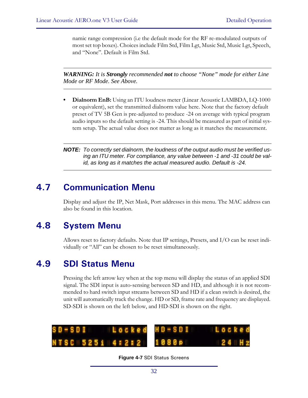namic range compression (i.e the default mode for the RF re-modulated outputs of most set top boxes). Choices include Film Std, Film Lgt, Music Std, Music Lgt, Speech, and "None". Default is Film Std.

*WARNING: It is Strongly recommended not to choose "None" mode for either Line Mode or RF Mode. See Above.*

- **Dialnorm EnB:** Using an ITU loudness meter (Linear Acoustic LAMBDA, LQ-1000 or equivalent), set the transmitted dialnorm value here. Note that the factory default preset of TV 5B Gen is pre-adjusted to produce -24 on average with typical program audio inputs so the default setting is -24. This should be measured as part of initial system setup. The actual value does not matter as long as it matches the measurement.
- *NOTE: To correctly set dialnorm, the loudness of the output audio must be verified using an ITU meter. For compliance, any value between -1 and -31 could be valid, as long as it matches the actual measured audio. Default is -24.*

# **4.7 Communication Menu**

Display and adjust the IP, Net Mask, Port addresses in this menu. The MAC address can also be found in this location.

# **4.8 System Menu**

Allows reset to factory defaults. Note that IP settings, Presets, and I/O can be reset individually or "All" can be chosen to be reset simultaneously.

# **4.9 SDI Status Menu**

Pressing the left arrow key when at the top menu will display the status of an applied SDI signal. The SDI input is auto-sensing between SD and HD, and although it is not recommended to hard switch input streams between SD and HD if a clean switch is desired, the unit will automatically track the change. HD or SD, frame rate and frequency are displayed. SD-SDI is shown on the left below, and HD-SDI is shown on the right.



**Figure 4-7** SDI Status Screens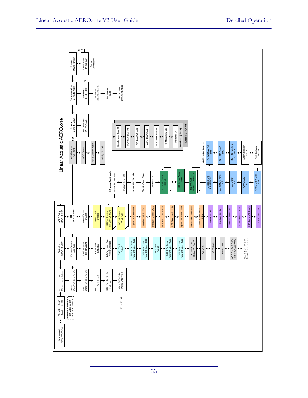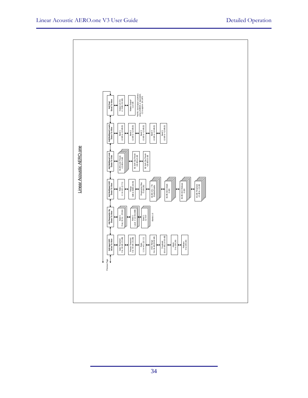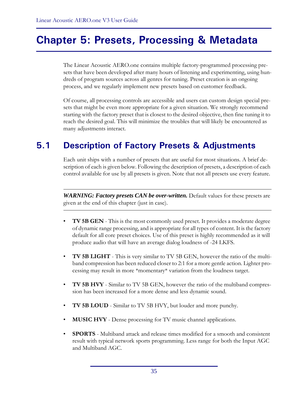# **Chapter 5: Presets, Processing & Metadata**

The Linear Acoustic AERO.one contains multiple factory-programmed processing presets that have been developed after many hours of listening and experimenting, using hundreds of program sources across all genres for tuning. Preset creation is an ongoing process, and we regularly implement new presets based on customer feedback.

Of course, all processing controls are accessible and users can custom design special presets that might be even more appropriate for a given situation. We strongly recommend starting with the factory preset that is closest to the desired objective, then fine tuning it to reach the desired goal. This will minimize the troubles that will likely be encountered as many adjustments interact.

# **5.1 Description of Factory Presets & Adjustments**

Each unit ships with a number of presets that are useful for most situations. A brief description of each is given below. Following the description of presets, a description of each control available for use by all presets is given. Note that not all presets use every feature.

*WARNING: Factory presets CAN be over-written.* Default values for these presets are given at the end of this chapter (just in case).

- **TV 5B GEN** This is the most commonly used preset. It provides a moderate degree of dynamic range processing, and is appropriate for all types of content. It is the factory default for all core preset choices. Use of this preset is highly recommended as it will produce audio that will have an average dialog loudness of -24 LKFS.
- **TV 5B LIGHT** This is very similar to TV 5B GEN, however the ratio of the multiband compression has been reduced closer to 2:1 for a more gentle action. Lighter processing may result in more \*momentary\* variation from the loudness target.
- **TV 5B HVY** Similar to TV 5B GEN, however the ratio of the multiband compression has been increased for a more dense and less dynamic sound.
- **TV 5B LOUD** Similar to TV 5B HVY, but louder and more punchy.
- **MUSIC HVY** Dense processing for TV music channel applications.
- **SPORTS** Multiband attack and release times modified for a smooth and consistent result with typical network sports programming. Less range for both the Input AGC and Multiband AGC.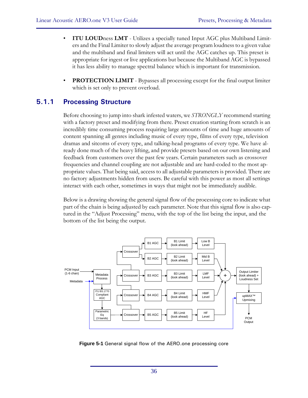- **ITU LOUD**ness **LMT** Utilizes a specially tuned Input AGC plus Multiband Limiters and the Final Limiter to slowly adjust the average program loudness to a given value and the multiband and final limiters will act until the AGC catches up. This preset is appropriate for ingest or live applications but because the Multiband AGC is bypassed it has less ability to manage spectral balance which is important for transmission.
- **PROTECTION LIMIT** Bypasses all processing except for the final output limiter which is set only to prevent overload.

## **5.1.1 Processing Structure**

Before choosing to jump into shark infested waters, we *STRONGLY* recommend starting with a factory preset and modifying from there. Preset creation starting from scratch is an incredibly time consuming process requiring large amounts of time and huge amounts of content spanning all genres including music of every type, films of every type, television dramas and sitcoms of every type, and talking-head programs of every type. We have already done much of the heavy lifting, and provide presets based on our own listening and feedback from customers over the past few years. Certain parameters such as crossover frequencies and channel coupling are not adjustable and are hard-coded to the most appropriate values. That being said, access to all adjustable parameters is provided. There are no factory adjustments hidden from users. Be careful with this power as most all settings interact with each other, sometimes in ways that might not be immediately audible.

Below is a drawing showing the general signal flow of the processing core to indicate what part of the chain is being adjusted by each parameter. Note that this signal flow is also captured in the "Adjust Processing" menu, with the top of the list being the input, and the bottom of the list being the output.



**Figure 5-1** General signal flow of the AERO.one processing core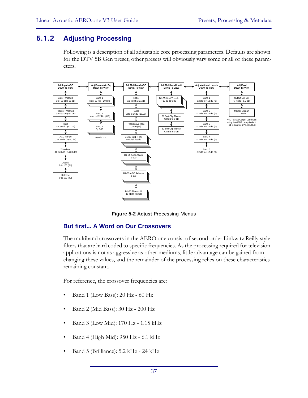### **5.1.2 Adjusting Processing**

Following is a description of all adjustable core processing parameters. Defaults are shown for the DTV 5B Gen preset, other presets will obviously vary some or all of these parameters.



**Figure 5-2** Adjust Processing Menus

#### **But first... A Word on Our Crossovers**

The multiband crossovers in the AERO.one consist of second order Linkwitz Reilly style filters that are hard coded to specific frequencies. As the processing required for television applications is not as aggressive as other mediums, little advantage can be gained from changing these values, and the remainder of the processing relies on these characteristics remaining constant.

For reference, the crossover frequencies are:

- Band 1 (Low Bass): 20 Hz 60 Hz
- Band 2 (Mid Bass): 30 Hz 200 Hz
- Band 3 (Low Mid): 170 Hz 1.15 kHz
- Band 4 (High Mid): 950 Hz 6.1 kHz
- Band 5 (Brilliance): 5.2 kHz 24 kHz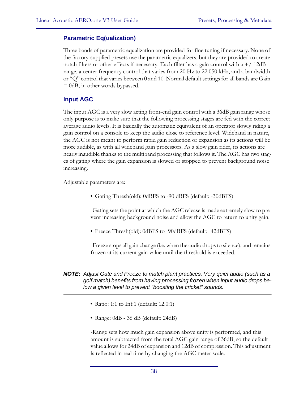#### **Parametric Eq(ualization)**

Three bands of parametric equalization are provided for fine tuning if necessary. None of the factory-supplied presets use the parametric equalizers, but they are provided to create notch filters or other effects if necessary. Each filter has a gain control with  $a + (-12dB)$ range, a center frequency control that varies from 20 Hz to 22.050 kHz, and a bandwidth or "Q" control that varies between 0 and 10. Normal default settings for all bands are Gain = 0dB, in other words bypassed.

#### **Input AGC**

The input AGC is a very slow acting front-end gain control with a 36dB gain range whose only purpose is to make sure that the following processing stages are fed with the correct average audio levels. It is basically the automatic equivalent of an operator slowly riding a gain control on a console to keep the audio close to reference level. Wideband in nature, the AGC is not meant to perform rapid gain reduction or expansion as its actions will be more audible, as with all wideband gain processors. As a slow gain rider, its actions are nearly inaudible thanks to the multiband processing that follows it. The AGC has two stages of gating where the gain expansion is slowed or stopped to prevent background noise increasing.

Adjustable parameters are:

• Gating Thresh(old): 0dBFS to -90 dBFS (default: -30dBFS)

-Gating sets the point at which the AGC release is made extremely slow to prevent increasing background noise and allow the AGC to return to unity gain.

• Freeze Thresh(old): 0dBFS to -90dBFS (default: -42dBFS)

-Freeze stops all gain change (i.e. when the audio drops to silence), and remains frozen at its current gain value until the threshold is exceeded.

#### *NOTE: Adjust Gate and Freeze to match plant practices. Very quiet audio (such as a golf match) benefits from having processing frozen when input audio drops below a given level to prevent "boosting the cricket" sounds.*

- Ratio: 1:1 to Inf:1 (default: 12.0:1)
- Range: 0dB 36 dB (default: 24dB)

-Range sets how much gain expansion above unity is performed, and this amount is subtracted from the total AGC gain range of 36dB, so the default value allows for 24dB of expansion and 12dB of compression. This adjustment is reflected in real time by changing the AGC meter scale.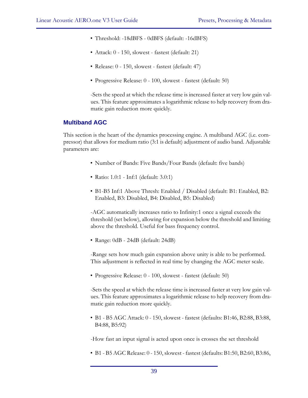- Threshold: -18dBFS 0dBFS (default: -16dBFS)
- Attack: 0 150, slowest fastest (default: 21)
- Release: 0 150, slowest fastest (default: 47)
- Progressive Release: 0 100, slowest fastest (default: 50)

-Sets the speed at which the release time is increased faster at very low gain values. This feature approximates a logarithmic release to help recovery from dramatic gain reduction more quickly.

#### **Multiband AGC**

This section is the heart of the dynamics processing engine. A multiband AGC (i.e. compressor) that allows for medium ratio (3:1 is default) adjustment of audio band. Adjustable parameters are:

- Number of Bands: Five Bands/Four Bands (default: five bands)
- Ratio: 1.0:1 Inf:1 (default: 3.0:1)
- B1-B5 Inf:1 Above Thresh: Enabled / Disabled (default: B1: Enabled, B2: Enabled, B3: Disabled, B4: Disabled, B5: Disabled)

-AGC automatically increases ratio to Infinity:1 once a signal exceeds the threshold (set below), allowing for expansion below the threshold and limiting above the threshold. Useful for bass frequency control.

• Range: 0dB - 24dB (default: 24dB)

-Range sets how much gain expansion above unity is able to be performed. This adjustment is reflected in real time by changing the AGC meter scale.

• Progressive Release: 0 - 100, slowest - fastest (default: 50)

-Sets the speed at which the release time is increased faster at very low gain values. This feature approximates a logarithmic release to help recovery from dramatic gain reduction more quickly.

• B1 - B5 AGC Attack: 0 - 150, slowest - fastest (defaults: B1:46, B2:88, B3:88, B4:88, B5:92)

-How fast an input signal is acted upon once is crosses the set threshold

• B1 - B5 AGC Release: 0 - 150, slowest - fastest (defaults: B1:50, B2:60, B3:86,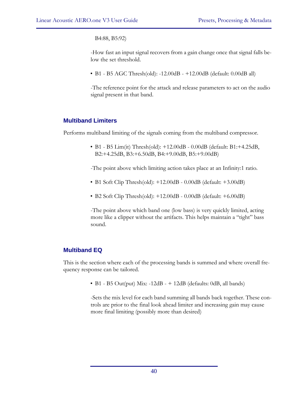B4:88, B5:92)

-How fast an input signal recovers from a gain change once that signal falls below the set threshold.

• B1 - B5 AGC Thresh(old): -12.00dB - +12.00dB (default: 0.00dB all)

-The reference point for the attack and release parameters to act on the audio signal present in that band.

### **Multiband Limiters**

Performs multiband limiting of the signals coming from the multiband compressor.

• B1 - B5 Lim(it) Thresh(old): +12.00dB - 0.00dB (default: B1:+4.25dB, B2:+4.25dB, B3:+6.50dB, B4:+9.00dB, B5:+9.00dB)

-The point above which limiting action takes place at an Infinity:1 ratio.

- B1 Soft Clip Thresh(old): +12.00dB 0.00dB (default: +3.00dB)
- B2 Soft Clip Thresh(old): +12.00dB 0.00dB (default: +6.00dB)

-The point above which band one (low bass) is very quickly limited, acting more like a clipper without the artifacts. This helps maintain a "tight" bass sound.

### **Multiband EQ**

This is the section where each of the processing bands is summed and where overall frequency response can be tailored.

• B1 - B5 Out(put) Mix:  $-12dB - + 12dB$  (defaults: 0dB, all bands)

-Sets the mix level for each band summing all bands back together. These controls are prior to the final look ahead limiter and increasing gain may cause more final limiting (possibly more than desired)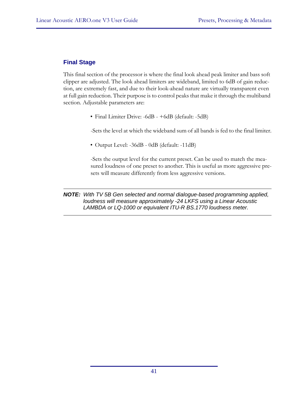### **Final Stage**

This final section of the processor is where the final look ahead peak limiter and bass soft clipper are adjusted. The look ahead limiters are wideband, limited to 6dB of gain reduction, are extremely fast, and due to their look-ahead nature are virtually transparent even at full gain reduction. Their purpose is to control peaks that make it through the multiband section. Adjustable parameters are:

• Final Limiter Drive: -6dB - +6dB (default: -5dB)

-Sets the level at which the wideband sum of all bands is fed to the final limiter.

• Output Level: -36dB - 0dB (default: -11dB)

-Sets the output level for the current preset. Can be used to match the measured loudness of one preset to another. This is useful as more aggressive presets will measure differently from less aggressive versions.

*NOTE: With TV 5B Gen selected and normal dialogue-based programming applied, loudness will measure approximately -24 LKFS using a Linear Acoustic LAMBDA or LQ-1000 or equivalent ITU-R BS.1770 loudness meter.*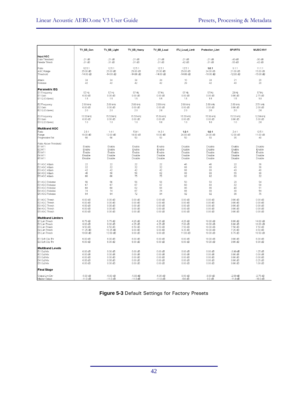|                                                                                                                       | TV_5B_Gen                                                                             | TV_5B_Light                                                   | TV_5B_Heavy                                                             | TV_5B_Loud                                                       | ITU_Loud_Limit                                                | Protection_Limt                                                       | <b>SPORTS</b>                                                           | MUSIC HVY                                                                   |
|-----------------------------------------------------------------------------------------------------------------------|---------------------------------------------------------------------------------------|---------------------------------------------------------------|-------------------------------------------------------------------------|------------------------------------------------------------------|---------------------------------------------------------------|-----------------------------------------------------------------------|-------------------------------------------------------------------------|-----------------------------------------------------------------------------|
| Input AGC<br>Gate Threshold<br>Freeze Thresh                                                                          | $-21$ dB<br>$-31$ dB                                                                  | $-21$ dB<br>$-31$ dB                                          | $-21$ dB<br>$-31$ dB                                                    | $-21$ dB<br>$-31dB$                                              | $-21$ dB<br>$-42$ dB                                          | $-21dB$<br>$-31dB$                                                    | $-40$ dB<br>$-55$ dB                                                    | $-30$ dB<br>$-42$ dB                                                        |
| Ratio                                                                                                                 | 12.5:1                                                                                | 12.5:1                                                        | 12.5:1                                                                  | 12.5:1                                                           | 12.5:1                                                        | 1.0:1                                                                 | 9.1:1                                                                   | 11.1:1                                                                      |
| AGC Range                                                                                                             | 25.00 dB                                                                              | 25.00 dB                                                      | 25.00 dB                                                                | 25.00 dB                                                         | 25.00 dB                                                      | 24.00 dB                                                              | 21.00 dB                                                                | 15.00 dB                                                                    |
| Threshold                                                                                                             | $-14.00$ dB                                                                           | $-14.00$ dB                                                   | $-14.00$ dB                                                             | $-14.00$ dB                                                      | $-14.00$ dB                                                   | $-16.00$ dB                                                           | $-12.00$ dB                                                             | $-15.00$ dB                                                                 |
| Attack                                                                                                                | 24                                                                                    | 24                                                            | 24                                                                      | 24                                                               | 10                                                            | 24                                                                    | 21                                                                      | 20                                                                          |
| Release                                                                                                               | 42                                                                                    | 42                                                            | 42                                                                      | 42                                                               | 29                                                            | 42                                                                    | 40                                                                      | 20                                                                          |
| Parametric EQ<br>B1 Frequency<br>B1 Gain<br>B1 Q (Octaves)                                                            | 57 Hz<br>$0.00$ dB<br>1.5                                                             | 57 Hz<br>$0.00$ dB<br>1.5                                     | 57 Hz<br>$0.00$ dB<br>1.5                                               | 57 Hz<br>$0.00$ dB<br>1.5                                        | 57 Hz<br>$0.00$ dB<br>1.5                                     | 57 Hz<br>$0.00$ dB<br>1.5                                             | 23 Hz<br>$0.00$ dB<br>1.5                                               | 57 Hz<br>2.75 dB<br>1.8                                                     |
| B2 Frequency                                                                                                          | 2.89 kHz                                                                              | 2.89 kHz                                                      | 2.89 kHz                                                                | 2.89 kHz                                                         | 2.89 kHz                                                      | 2.89 kHz                                                              | 2.89 kHz                                                                | 2.51 kHz                                                                    |
| B <sub>2</sub> Gain                                                                                                   | $0.00 \text{ dB}$                                                                     | $0.00$ dB                                                     | $0.00 \text{ dB}$                                                       | $0.00$ dB                                                        | $0.00$ dB                                                     | $0.00 \text{ dB}$                                                     | $0.00 \text{ dB}$                                                       | 2.00 dB                                                                     |
| B2 Q (Octaves)                                                                                                        | 2.0                                                                                   | 2.0                                                           | 2.0                                                                     | 2.0                                                              | 2.0                                                           | 2.0                                                                   | 2.0                                                                     | 2.0                                                                         |
| <b>B3 Frequency</b>                                                                                                   | 15.53 kHz                                                                             | 15.53 kHz                                                     | 15.53 kHz                                                               | 15.53 kHz                                                        | 15.53 kHz                                                     | 15.53 kHz                                                             | 15.53 kHz                                                               | 12.59 kHz                                                                   |
| B <sub>3</sub> Gain                                                                                                   | $0.00 \text{ dB}$                                                                     | $0.00 \, \text{dB}$                                           | $0.00$ dB                                                               | $0.00 \, \text{dB}$                                              | $0.00$ dB                                                     | $0.00$ dB                                                             | $0.00 \text{ dB}$                                                       | 3.00 dB                                                                     |
| B3 Q (Octaves)                                                                                                        | 1.0                                                                                   | 1.0                                                           | 1.0                                                                     | 1.0                                                              | 1.0                                                           | 1.0                                                                   | 1.0                                                                     | 2.0                                                                         |
| <b>Multiband AGC</b><br>Ratio<br>Range<br>Progressive Rel                                                             | 2.8:1<br>16.00 dB<br>50                                                               | 1.4:1<br>12.00 dB<br>50                                       | 5.9:1<br>18.00 dB<br>50                                                 | 14.3:1<br>18.00 dB<br>50                                         | 1.0:1<br>24.00 dB<br>50                                       | 1.0:1<br>24.00 dB<br>50                                               | 2.4:1<br>12.00 dB<br>35                                                 | 12.5:1<br>11.00 dB<br>40                                                    |
| Ratio Above Threshold:<br>B1 Inf:1<br>B <sub>2</sub> Inf:1<br>B <sub>3</sub> Inf:1<br>B4 Inf: 1<br>B5 Inf:1           | Enable<br>Enable<br>Enable<br>Disable<br>Disable                                      | Enable<br>Enable<br>Enable<br>Disable<br>Disable              | Enable<br>Enable<br>Enable<br>Disable<br>Disable                        | Enable<br>Enable<br>Enable<br>Disable<br>Disable                 | Disable<br>Disable<br>Disable<br>Disable<br>Disable           | Disable<br>Disable<br>Disable<br>Disable<br>Disable                   | Enable<br>Enable<br>Enable<br>Disable<br>Disable                        | Disable<br>Enable<br>Enable<br>Disable<br>Disable                           |
| <b>B1 AGC Attack</b>                                                                                                  | 22                                                                                    | 22                                                            | 22                                                                      | 22                                                               | 46                                                            | 46                                                                    | 22                                                                      | 36                                                                          |
| <b>B2 AGC Attack</b>                                                                                                  | 32                                                                                    | 32                                                            | 32                                                                      | 32                                                               | 88                                                            | 88                                                                    | 43                                                                      | 36                                                                          |
| <b>B3 AGC Attack</b>                                                                                                  | 42                                                                                    | 42                                                            | 42                                                                      | 42                                                               | 88                                                            | 88                                                                    | 43                                                                      | 40                                                                          |
| B4 AGC Attack                                                                                                         | 46                                                                                    | 50                                                            | 56                                                                      | 62                                                               | 88                                                            | 88                                                                    | 55                                                                      | 38                                                                          |
| B5 AGC Attack                                                                                                         | 66                                                                                    | 66                                                            | 75                                                                      | 75                                                               | 92                                                            | 92                                                                    | 60                                                                      | 32                                                                          |
| <b>B1 AGC Release</b>                                                                                                 | 56                                                                                    | 56                                                            | 56                                                                      | 56                                                               | 50                                                            | 50                                                                    | 20                                                                      | 54                                                                          |
| <b>B2 AGC Release</b>                                                                                                 | 67                                                                                    | 67                                                            | 67                                                                      | 67                                                               | 60                                                            | 60                                                                    | 32                                                                      | 58                                                                          |
| <b>B3 AGC Release</b>                                                                                                 | 68                                                                                    | 68                                                            | 62                                                                      | 68                                                               | 86                                                            | 86                                                                    | 40                                                                      | 51                                                                          |
| <b>B4 AGC Release</b>                                                                                                 | 74                                                                                    | 74                                                            | 67                                                                      | 74                                                               | 88                                                            | 88                                                                    | 38                                                                      | 54                                                                          |
| <b>B5 AGC Release</b>                                                                                                 | 84                                                                                    | 84                                                            | 72                                                                      | 84                                                               | 92                                                            | 92                                                                    | 36                                                                      | 75                                                                          |
| B1 AGC Thresh                                                                                                         | $0.00 \text{ dB}$                                                                     | $0.00 \text{ dB}$                                             | $0.00 \text{ dB}$                                                       | $0.00$ dB                                                        | $0.00$ dB                                                     | $0.00$ dB                                                             | 3.00 dB                                                                 | $0.00 \text{ dB}$                                                           |
| <b>B2 AGC Thresh</b>                                                                                                  | $0.00$ dB                                                                             | $0.00$ dB                                                     | $0.00$ dB                                                               | $0.00$ dB                                                        | $0.00$ dB                                                     | $0.00$ dB                                                             | 3.00 dB                                                                 | $0.00$ dB                                                                   |
| <b>B3 AGC Thresh</b>                                                                                                  | $0.00 \text{ dB}$                                                                     | $0.00$ dB                                                     | $0.00 \text{ dB}$                                                       | $0.00 \text{ dB}$                                                | $0.00 \, \text{dB}$                                           | $0.00$ dB                                                             | 3.00 dB                                                                 | $0.00 \, \text{dB}$                                                         |
| B4 AGC Thresh                                                                                                         | $0.00 \text{ dB}$                                                                     | $0.00$ dB                                                     | $0.00 \text{ dB}$                                                       | $0.00$ dB                                                        | $0.00$ dB                                                     | $0.00$ dB                                                             | 3.00 dB                                                                 | $0.00 \, \text{dB}$                                                         |
| <b>B5 AGC Thresh</b>                                                                                                  | $0.00$ dB                                                                             | $0.00$ dB                                                     | $0.00$ dB                                                               | $0.00$ dB                                                        | $0.00$ dB                                                     | $0.00$ dB                                                             | 3.00 dB                                                                 | $0.00$ dB                                                                   |
| <b>Multiband Limiters</b><br>B1 Lim Thresh<br>B2 Lim Thresh<br><b>B3 Lim Thresh</b><br>B4 Lim Thresh<br>B5 Lim Thresh | 6.75 dB<br>$9.00 \text{ dB}$<br>9.50 dB<br>11.25 dB<br>13.00 dB                       | 5.75 dB<br>8.00 dB<br>8.50 dB<br>10.25 dB<br>12.00 dB         | 4.25 dB<br>4.25 dB<br>6.50 dB<br>$9.00 \text{ dB}$<br>$9.00 \text{ dB}$ | 4.25 dB<br>4.25 dB<br>6.50 dB<br>9.00 dB<br>9.00 dB              | 4.25 dB<br>7.00 dB<br>7.50 dB<br>9.25 dB<br>11.00 dB          | 18.00 dB<br>18.00 dB<br>18.00 dB<br>18.00 dB<br>18.00 dB              | $6.00 \text{ dB}$<br>$6.00 \text{ dB}$<br>7.50 dB<br>7.25 dB<br>6.75 dB | 14.00 dB<br>10.00 dB<br>7.50 dB<br>8.50 dB<br>10.50 dB                      |
| B1 Soft Clip Thr                                                                                                      | 6.00 dB                                                                               | 6.00 dB                                                       | 6.00 dB                                                                 | 6.00 dB                                                          | $6.00 \text{ dB}$                                             | 18.00 dB                                                              | 3.00 dB                                                                 | 6.00 dB                                                                     |
| B2 Soft Clip Thr                                                                                                      | $6.00 \text{ dB}$                                                                     | 6.00 dB                                                       | 6.00 dB                                                                 | 6.00 dB                                                          | 6.00dB                                                        | 18.00 dB                                                              | 3.00 dB                                                                 | $6.00$ dB                                                                   |
| <b>Multiband Levels</b><br>B1 Out Mix<br>B2 Out Mix<br>B3 Out Mix<br>B4 Out Mix<br>B5 Out Mix                         | $0.00$ dB<br>$0.00 \text{ dB}$<br>$0.00 \text{ dB}$<br>$0.00$ dB<br>$0.00 \text{ dB}$ | $0.00$ dB<br>$0.00$ dB<br>$0.00$ dB<br>$0.00$ dB<br>$0.00$ dB | $0.00$ dB<br>$0.00$ dB<br>$0.00 \text{ dB}$<br>$0.00$ dB<br>$0.00$ dB   | $0.00$ dB<br>$0.00$ dB<br>$0.00 \, dB$<br>$0.00$ dB<br>$0.00$ dB | $0.00$ dB<br>$0.00$ dB<br>$0.00$ dB<br>$0.00$ dB<br>$0.00$ dB | $0.00$ dB<br>$0.00 \text{ dB}$<br>$0.00$ dB<br>$0.00$ dB<br>$0.00$ dB | $-3.00$ dB<br>$0.00$ dB<br>$0.00 \text{ dB}$<br>$0.00$ dB<br>$0.00$ dB  | 1.25 dB<br>$0.00 \text{ dB}$<br>$0.00 \, \text{dB}$<br>$0.25$ dB<br>1.00 dB |
| <b>Final Stage</b>                                                                                                    |                                                                                       |                                                               |                                                                         |                                                                  |                                                               |                                                                       |                                                                         |                                                                             |
| Output Lim Drv                                                                                                        | $-5.00$ dB                                                                            | $-5.00$ dB                                                    | $-5.00$ dB                                                              | $-5.00$ dB                                                       | $0.00$ dB                                                     | $-3.00$ dB                                                            | $-2.50$ dB                                                              | $-2.75$ dB                                                                  |
| Master Output                                                                                                         | $-11.0$ dB                                                                            | $-11.0$ dB                                                    | $-11.0$ dB                                                              | $-11.0$ dB                                                       | $-6.0$ dB                                                     | $0.0$ dB                                                              | $-11.0$ dB                                                              | $-10.0$ dB                                                                  |

**Figure 5-3** Default Settings for Factory Presets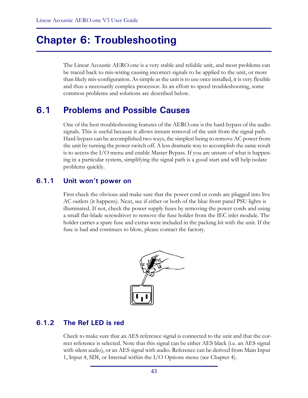# **Chapter 6: Troubleshooting**

The Linear Acoustic AERO.one is a very stable and reliable unit, and most problems can be traced back to mis-wiring causing incorrect signals to be applied to the unit, or more than likely mis-configuration. As simple as the unit is to use once installed, it is very flexible and thus a necessarily complex processor. In an effort to speed troubleshooting, some common problems and solutions are described below.

# **6.1 Problems and Possible Causes**

One of the best troubleshooting features of the AERO.one is the hard-bypass of the audio signals. This is useful because it allows instant removal of the unit from the signal path. Hard-bypass can be accomplished two ways, the simplest being to remove AC power from the unit by turning the power switch off. A less dramatic way to accomplish the same result is to access the I/O menu and enable Master Bypass. If you are unsure of what is happening in a particular system, simplifying the signal path is a good start and will help isolate problems quickly.

### **6.1.1 Unit won't power on**

First check the obvious and make sure that the power cord or cords are plugged into live AC outlets (it happens). Next, see if either or both of the blue front panel PSU lights is illuminated. If not, check the power supply fuses by removing the power cords and using a small flat-blade screwdriver to remove the fuse holder from the IEC inlet module. The holder carries a spare fuse and extras were included in the packing kit with the unit. If the fuse is bad and continues to blow, please contact the factory.



## **6.1.2 The Ref LED is red**

Check to make sure that an AES reference signal is connected to the unit and that the correct reference is selected. Note that this signal can be either AES black (i.e. an AES signal with silent audio), or an AES signal with audio. Reference can be derived from Main Input 1, Input 4, SDI, or Internal within the I/O Options menu (see Chapter 4).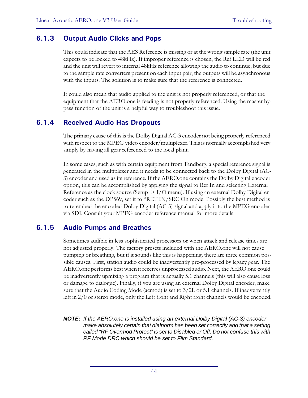### **6.1.3 Output Audio Clicks and Pops**

This could indicate that the AES Reference is missing or at the wrong sample rate (the unit expects to be locked to 48kHz). If improper reference is chosen, the Ref LED will be red and the unit will revert to internal 48kHz reference allowing the audio to continue, but due to the sample rate converters present on each input pair, the outputs will be asynchronous with the inputs. The solution is to make sure that the reference is connected.

It could also mean that audio applied to the unit is not properly referenced, or that the equipment that the AERO.one is feeding is not properly referenced. Using the master bypass function of the unit is a helpful way to troubleshoot this issue.

### **6.1.4 Received Audio Has Dropouts**

The primary cause of this is the Dolby Digital AC-3 encoder not being properly referenced with respect to the MPEG video encoder/multiplexer. This is normally accomplished very simply by having all gear referenced to the local plant.

In some cases, such as with certain equipment from Tandberg, a special reference signal is generated in the multiplexer and it needs to be connected back to the Dolby Digital (AC-3) encoder and used as its reference. If the AERO.one contains the Dolby Digital encoder option, this can be accomplished by applying the signal to Ref In and selecting External Reference as the clock source (Setup  $\geq$  I/O menu). If using an external Dolby Digital encoder such as the DP569, set it to "REF IN/SRC On mode. Possibly the best method is to re-embed the encoded Dolby Digital (AC-3) signal and apply it to the MPEG encoder via SDI. Consult your MPEG encoder reference manual for more details.

### **6.1.5 Audio Pumps and Breathes**

Sometimes audible in less sophisticated processors or when attack and release times are not adjusted properly. The factory presets included with the AERO.one will not cause pumping or breathing, but if it sounds like this is happening, there are three common possible causes. First, station audio could be inadvertently pre-processed by legacy gear. The AERO.one performs best when it receives unprocessed audio. Next, the AERO.one could be inadvertently upmixing a program that is actually 5.1 channels (this will also cause loss or damage to dialogue). Finally, if you are using an external Dolby Digital encoder, make sure that the Audio Coding Mode (acmod) is set to 3/2L or 5.1 channels. If inadvertently left in 2/0 or stereo mode, only the Left front and Right front channels would be encoded.

*NOTE: If the AERO.one is installed using an external Dolby Digital (AC-3) encoder make absolutely certain that dialnorm has been set correctly and that a setting called "RF Overmod Protect" is set to Disabled or Off. Do not confuse this with RF Mode DRC which should be set to Film Standard.*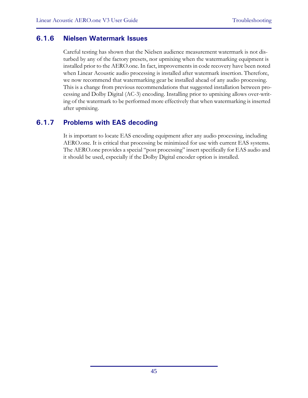### **6.1.6 Nielsen Watermark Issues**

Careful testing has shown that the Nielsen audience measurement watermark is not disturbed by any of the factory presets, nor upmixing when the watermarking equipment is installed prior to the AERO.one. In fact, improvements in code recovery have been noted when Linear Acoustic audio processing is installed after watermark insertion. Therefore, we now recommend that watermarking gear be installed ahead of any audio processing. This is a change from previous recommendations that suggested installation between processing and Dolby Digital (AC-3) encoding. Installing prior to upmixing allows over-writing of the watermark to be performed more effectively that when watermarking is inserted after upmixing.

## **6.1.7 Problems with EAS decoding**

It is important to locate EAS encoding equipment after any audio processing, including AERO.one. It is critical that processing be minimized for use with current EAS systems. The AERO.one provides a special "post processing" insert specifically for EAS audio and it should be used, especially if the Dolby Digital encoder option is installed.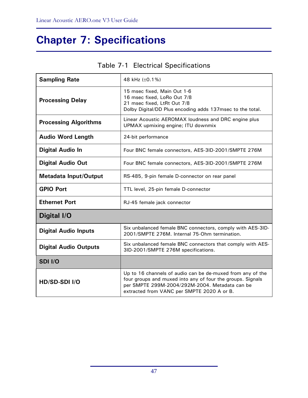# **Chapter 7: Specifications**

| <b>Sampling Rate</b>         | 48 kHz (±0.1%)                                                                                                                                                                                                           |
|------------------------------|--------------------------------------------------------------------------------------------------------------------------------------------------------------------------------------------------------------------------|
| <b>Processing Delay</b>      | 15 msec fixed, Main Out 1-6<br>16 msec fixed, LoRo Out 7/8<br>21 msec fixed, LtRt Out 7/8<br>Dolby Digital/DD Plus encoding adds 137msec to the total.                                                                   |
| <b>Processing Algorithms</b> | Linear Acoustic AEROMAX loudness and DRC engine plus<br>UPMAX upmixing engine; ITU downmix                                                                                                                               |
| <b>Audio Word Length</b>     | 24-bit performance                                                                                                                                                                                                       |
| <b>Digital Audio In</b>      | Four BNC female connectors, AES-3ID-2001/SMPTE 276M                                                                                                                                                                      |
| <b>Digital Audio Out</b>     | Four BNC female connectors, AES-3ID-2001/SMPTE 276M                                                                                                                                                                      |
| <b>Metadata Input/Output</b> | RS-485, 9-pin female D-connector on rear panel                                                                                                                                                                           |
| <b>GPIO Port</b>             | TTL level, 25-pin female D-connector                                                                                                                                                                                     |
| <b>Ethernet Port</b>         | RJ-45 female jack connector                                                                                                                                                                                              |
| Digital I/O                  |                                                                                                                                                                                                                          |
| <b>Digital Audio Inputs</b>  | Six unbalanced female BNC connectors, comply with AES-3ID-<br>2001/SMPTE 276M. Internal 75-Ohm termination.                                                                                                              |
| <b>Digital Audio Outputs</b> | Six unbalanced female BNC connectors that comply with AES-<br>3ID-2001/SMPTE 276M specifications.                                                                                                                        |
| SDI I/O                      |                                                                                                                                                                                                                          |
| HD/SD-SDI I/O                | Up to 16 channels of audio can be de-muxed from any of the<br>four groups and muxed into any of four the groups. Signals<br>per SMPTE 299M-2004/292M-2004. Metadata can be<br>extracted from VANC per SMPTE 2020 A or B. |

# Table 7-1 Electrical Specifications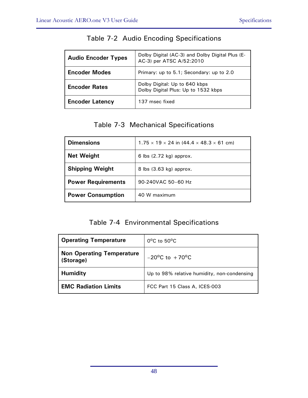| <b>Audio Encoder Types</b> | Dolby Digital (AC-3) and Dolby Digital Plus (E-<br>AC-3) per ATSC A/52:2010 |
|----------------------------|-----------------------------------------------------------------------------|
| <b>Encoder Modes</b>       | Primary: up to 5.1; Secondary: up to 2.0                                    |
| <b>Encoder Rates</b>       | Dolby Digital: Up to 640 kbps<br>Dolby Digital Plus: Up to 1532 kbps        |
| <b>Encoder Latency</b>     | 137 msec fixed                                                              |

## Table 7-2 Audio Encoding Specifications

## Table 7-3 Mechanical Specifications

| <b>Dimensions</b>         | $1.75 \times 19 \times 24$ in $(44.4 \times 48.3 \times 61$ cm) |
|---------------------------|-----------------------------------------------------------------|
| <b>Net Weight</b>         | 6 lbs $(2.72 \text{ kg})$ approx.                               |
| <b>Shipping Weight</b>    | 8 lbs (3.63 kg) approx.                                         |
| <b>Power Requirements</b> | 90-240VAC 50-60 Hz                                              |
| <b>Power Consumption</b>  | 40 W maximum                                                    |

## Table 7-4 Environmental Specifications

| <b>Operating Temperature</b>                  | $0^{\circ}$ C to 50 $^{\circ}$ C            |
|-----------------------------------------------|---------------------------------------------|
| <b>Non Operating Temperature</b><br>(Storage) | $-20^{\circ}$ C to $+70^{\circ}$ C          |
| <b>Humidity</b>                               | Up to 98% relative humidity, non-condensing |
| <b>EMC Radiation Limits</b>                   | FCC Part 15 Class A, ICES-003               |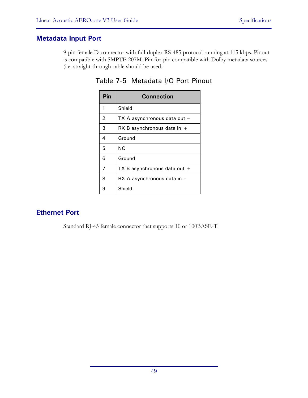### **Metadata Input Port**

9-pin female D-connector with full-duplex RS-485 protocol running at 115 kbps. Pinout is compatible with SMPTE 207M. Pin-for-pin compatible with Dolby metadata sources (i.e. straight-through cable should be used.

| Pin            | <b>Connection</b>              |
|----------------|--------------------------------|
| 1              | Shield                         |
| $\overline{2}$ | TX A asynchronous data out -   |
| 3              | RX B asynchronous data in $+$  |
| 4              | Ground                         |
| 5              | ΝC                             |
| 6              | Ground                         |
| 7              | TX B asynchronous data out $+$ |
| 8              | RX A asynchronous data in -    |
| 9              | Shield                         |

Table 7-5 Metadata I/O Port Pinout

## **Ethernet Port**

Standard RJ-45 female connector that supports 10 or 100BASE-T.